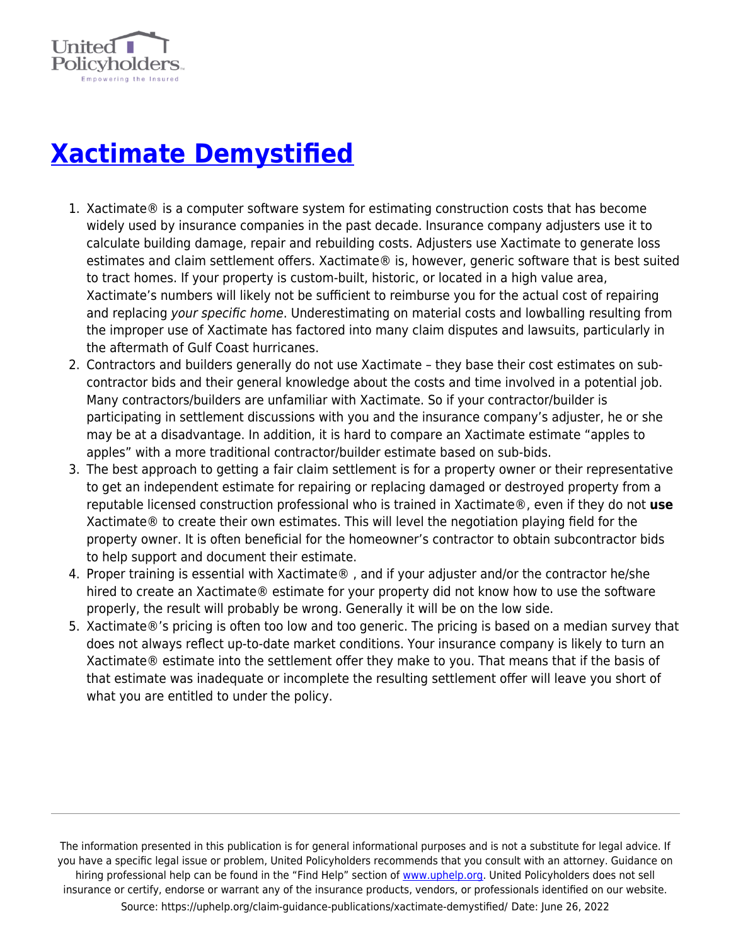

## **[Xactimate Demystified](https://uphelp.org/claim-guidance-publications/xactimate-demystified/)**

- 1. Xactimate® is a computer software system for estimating construction costs that has become widely used by insurance companies in the past decade. Insurance company adjusters use it to calculate building damage, repair and rebuilding costs. Adjusters use Xactimate to generate loss estimates and claim settlement offers. Xactimate® is, however, generic software that is best suited to tract homes. If your property is custom-built, historic, or located in a high value area, Xactimate's numbers will likely not be sufficient to reimburse you for the actual cost of repairing and replacing your specific home. Underestimating on material costs and lowballing resulting from the improper use of Xactimate has factored into many claim disputes and lawsuits, particularly in the aftermath of Gulf Coast hurricanes.
- 2. Contractors and builders generally do not use Xactimate they base their cost estimates on subcontractor bids and their general knowledge about the costs and time involved in a potential job. Many contractors/builders are unfamiliar with Xactimate. So if your contractor/builder is participating in settlement discussions with you and the insurance company's adjuster, he or she may be at a disadvantage. In addition, it is hard to compare an Xactimate estimate "apples to apples" with a more traditional contractor/builder estimate based on sub-bids.
- 3. The best approach to getting a fair claim settlement is for a property owner or their representative to get an independent estimate for repairing or replacing damaged or destroyed property from a reputable licensed construction professional who is trained in Xactimate®, even if they do not **use** Xactimate® to create their own estimates. This will level the negotiation playing field for the property owner. It is often beneficial for the homeowner's contractor to obtain subcontractor bids to help support and document their estimate.
- 4. Proper training is essential with Xactimate® , and if your adjuster and/or the contractor he/she hired to create an Xactimate® estimate for your property did not know how to use the software properly, the result will probably be wrong. Generally it will be on the low side.
- 5. Xactimate®'s pricing is often too low and too generic. The pricing is based on a median survey that does not always reflect up-to-date market conditions. Your insurance company is likely to turn an Xactimate® estimate into the settlement offer they make to you. That means that if the basis of that estimate was inadequate or incomplete the resulting settlement offer will leave you short of what you are entitled to under the policy.

The information presented in this publication is for general informational purposes and is not a substitute for legal advice. If you have a specific legal issue or problem, United Policyholders recommends that you consult with an attorney. Guidance on hiring professional help can be found in the "Find Help" section of [www.uphelp.org.](http://www.uphelp.org/) United Policyholders does not sell insurance or certify, endorse or warrant any of the insurance products, vendors, or professionals identified on our website. Source: https://uphelp.org/claim-guidance-publications/xactimate-demystified/ Date: June 26, 2022